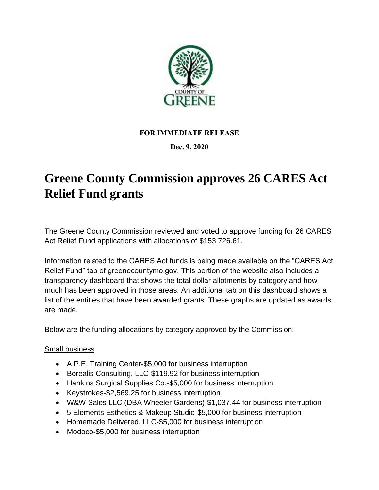

## **FOR IMMEDIATE RELEASE**

## **Dec. 9, 2020**

## **Greene County Commission approves 26 CARES Act Relief Fund grants**

The Greene County Commission reviewed and voted to approve funding for 26 CARES Act Relief Fund applications with allocations of \$153,726.61.

Information related to the CARES Act funds is being made available on the "CARES Act Relief Fund" tab of greenecountymo.gov. This portion of the website also includes a transparency dashboard that shows the total dollar allotments by category and how much has been approved in those areas. An additional tab on this dashboard shows a list of the entities that have been awarded grants. These graphs are updated as awards are made.

Below are the funding allocations by category approved by the Commission:

## Small business

- A.P.E. Training Center-\$5,000 for business interruption
- Borealis Consulting, LLC-\$119.92 for business interruption
- Hankins Surgical Supplies Co.-\$5,000 for business interruption
- Keystrokes-\$2,569.25 for business interruption
- W&W Sales LLC (DBA Wheeler Gardens)-\$1,037.44 for business interruption
- 5 Elements Esthetics & Makeup Studio-\$5,000 for business interruption
- Homemade Delivered, LLC-\$5,000 for business interruption
- Modoco-\$5,000 for business interruption